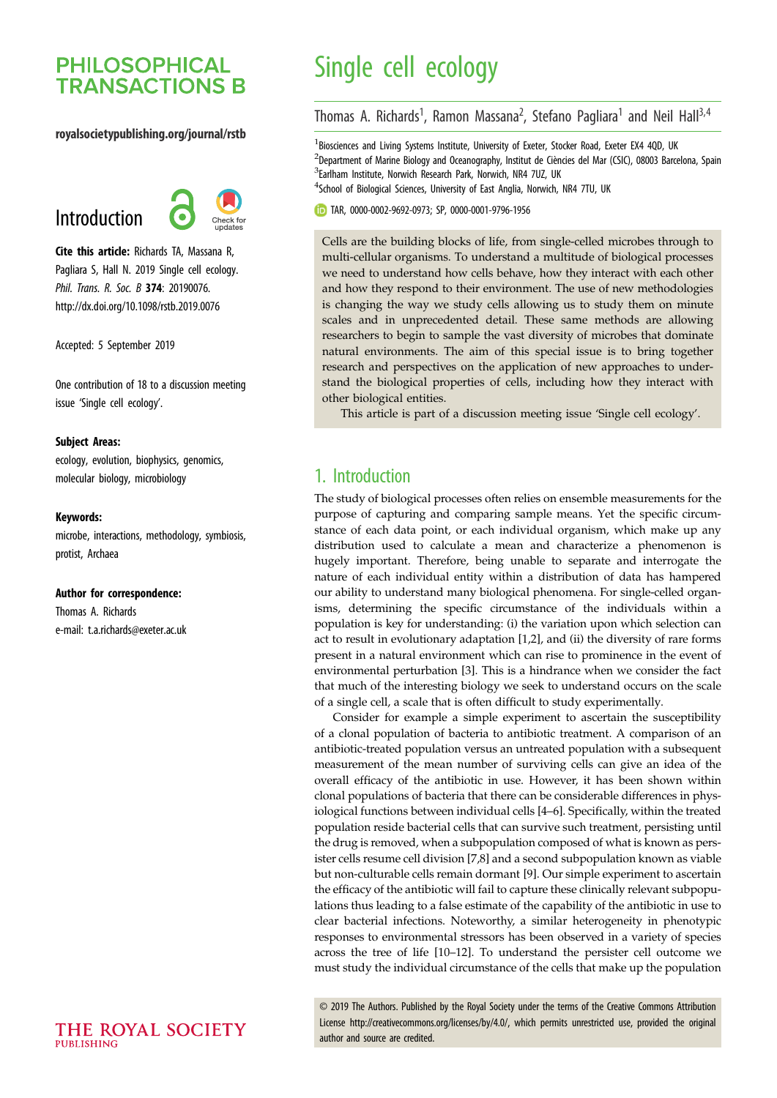## **PHILOSOPHICAL TRANSACTIONS B**

#### royalsocietypublishing.org/journal/rstb

# Introduction



Cite this article: Richards TA, Massana R, Pagliara S, Hall N. 2019 Single cell ecology. Phil. Trans. R. Soc. B 374: 20190076. http://dx.doi.org/10.1098/rstb.2019.0076

Accepted: 5 September 2019

One contribution of 18 to a discussion meeting issue '[Single cell ecology](http://dx.doi.org/10.1098/rstb/374/1786)'.

#### Subject Areas:

ecology, evolution, biophysics, genomics, molecular biology, microbiology

#### Keywords:

microbe, interactions, methodology, symbiosis, protist, Archaea

#### Author for correspondence:

Thomas A. Richards e-mail: [t.a.richards@exeter.ac.uk](mailto:t.a.richards@exeter.ac.uk)

# Single cell ecology

Thomas A. Richards<sup>1</sup>, Ramon Massana<sup>2</sup>, Stefano Pagliara<sup>1</sup> and Neil Hall<sup>3,4</sup>

<sup>1</sup> Biosciences and Living Systems Institute, University of Exeter, Stocker Road, Exeter EX4 4QD, UK <sup>2</sup>Department of Marine Biology and Oceanography, Institut de Ciències del Mar (CSIC), 08003 Barcelona, Spain <sup>3</sup>Earlham Institute, Norwich Research Park, Norwich, NR4 7UZ, UK <sup>4</sup>School of Biological Sciences, University of East Anglia, Norwich, NR4 7TU, UK

TAR, [0000-0002-9692-0973;](http://orcid.org/0000-0002-9692-0973) SP, [0000-0001-9796-1956](http://orcid.org/0000-0001-9796-1956)

Cells are the building blocks of life, from single-celled microbes through to multi-cellular organisms. To understand a multitude of biological processes we need to understand how cells behave, how they interact with each other and how they respond to their environment. The use of new methodologies is changing the way we study cells allowing us to study them on minute scales and in unprecedented detail. These same methods are allowing researchers to begin to sample the vast diversity of microbes that dominate natural environments. The aim of this special issue is to bring together research and perspectives on the application of new approaches to understand the biological properties of cells, including how they interact with other biological entities.

This article is part of a discussion meeting issue 'Single cell ecology'.

## 1. Introduction

The study of biological processes often relies on ensemble measurements for the purpose of capturing and comparing sample means. Yet the specific circumstance of each data point, or each individual organism, which make up any distribution used to calculate a mean and characterize a phenomenon is hugely important. Therefore, being unable to separate and interrogate the nature of each individual entity within a distribution of data has hampered our ability to understand many biological phenomena. For single-celled organisms, determining the specific circumstance of the individuals within a population is key for understanding: (i) the variation upon which selection can act to result in evolutionary adaptation [\[1,2](#page-6-0)], and (ii) the diversity of rare forms present in a natural environment which can rise to prominence in the event of environmental perturbation [[3](#page-6-0)]. This is a hindrance when we consider the fact that much of the interesting biology we seek to understand occurs on the scale of a single cell, a scale that is often difficult to study experimentally.

Consider for example a simple experiment to ascertain the susceptibility of a clonal population of bacteria to antibiotic treatment. A comparison of an antibiotic-treated population versus an untreated population with a subsequent measurement of the mean number of surviving cells can give an idea of the overall efficacy of the antibiotic in use. However, it has been shown within clonal populations of bacteria that there can be considerable differences in physiological functions between individual cells [[4](#page-6-0)–[6](#page-6-0)]. Specifically, within the treated population reside bacterial cells that can survive such treatment, persisting until the drug is removed, when a subpopulation composed of what is known as persister cells resume cell division [[7](#page-6-0),[8](#page-6-0)] and a second subpopulation known as viable but non-culturable cells remain dormant [[9](#page-6-0)]. Our simple experiment to ascertain the efficacy of the antibiotic will fail to capture these clinically relevant subpopulations thus leading to a false estimate of the capability of the antibiotic in use to clear bacterial infections. Noteworthy, a similar heterogeneity in phenotypic responses to environmental stressors has been observed in a variety of species across the tree of life [[10](#page-6-0)–[12](#page-6-0)]. To understand the persister cell outcome we must study the individual circumstance of the cells that make up the population

© 2019 The Authors. Published by the Royal Society under the terms of the Creative Commons Attribution License<http://creativecommons.org/licenses/by/4.0/>, which permits unrestricted use, provided the original author and source are credited.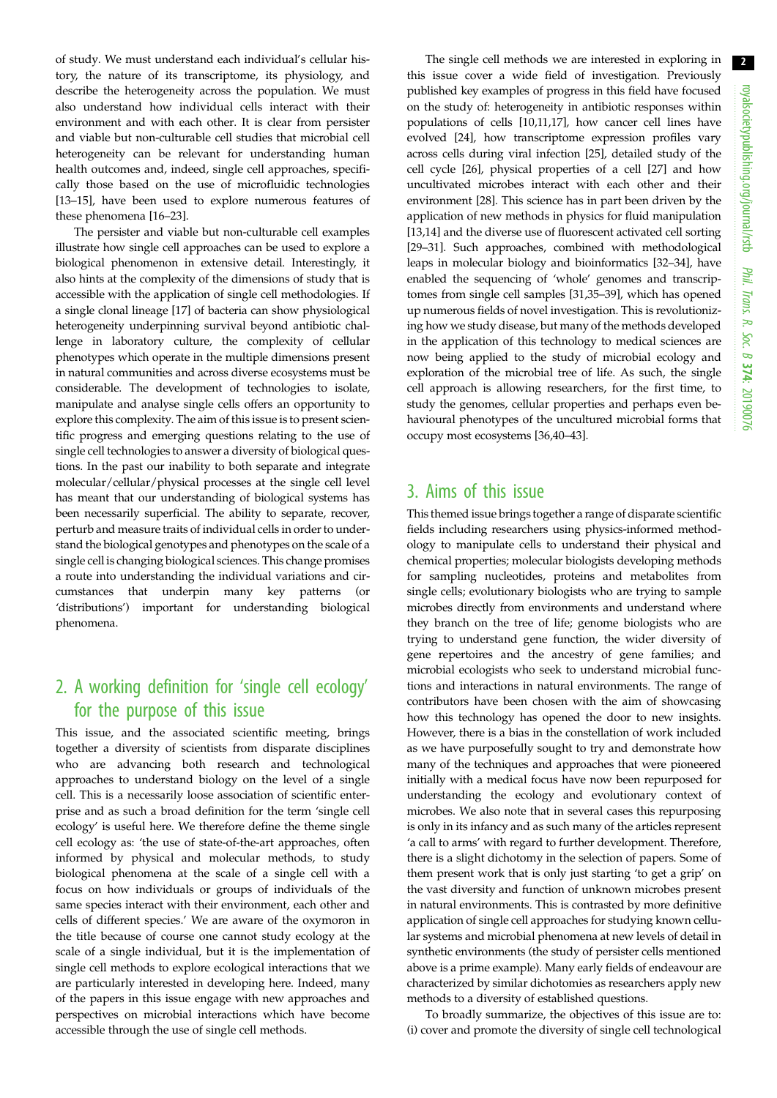of study. We must understand each individual's cellular history, the nature of its transcriptome, its physiology, and describe the heterogeneity across the population. We must also understand how individual cells interact with their environment and with each other. It is clear from persister and viable but non-culturable cell studies that microbial cell heterogeneity can be relevant for understanding human health outcomes and, indeed, single cell approaches, specifically those based on the use of microfluidic technologies [\[13](#page-6-0)–[15\]](#page-6-0), have been used to explore numerous features of these phenomena [\[16](#page-6-0)–[23\]](#page-6-0).

The persister and viable but non-culturable cell examples illustrate how single cell approaches can be used to explore a biological phenomenon in extensive detail. Interestingly, it also hints at the complexity of the dimensions of study that is accessible with the application of single cell methodologies. If a single clonal lineage [\[17](#page-6-0)] of bacteria can show physiological heterogeneity underpinning survival beyond antibiotic challenge in laboratory culture, the complexity of cellular phenotypes which operate in the multiple dimensions present in natural communities and across diverse ecosystems must be considerable. The development of technologies to isolate, manipulate and analyse single cells offers an opportunity to explore this complexity. The aim of this issue is to present scientific progress and emerging questions relating to the use of single cell technologies to answer a diversity of biological questions. In the past our inability to both separate and integrate molecular/cellular/physical processes at the single cell level has meant that our understanding of biological systems has been necessarily superficial. The ability to separate, recover, perturb and measure traits of individual cells in order to understand the biological genotypes and phenotypes on the scale of a single cell is changing biological sciences. This change promises a route into understanding the individual variations and circumstances that underpin many key patterns (or 'distributions') important for understanding biological phenomena.

## 2. A working definition for 'single cell ecology' for the purpose of this issue

This issue, and the associated scientific meeting, brings together a diversity of scientists from disparate disciplines who are advancing both research and technological approaches to understand biology on the level of a single cell. This is a necessarily loose association of scientific enterprise and as such a broad definition for the term 'single cell ecology' is useful here. We therefore define the theme single cell ecology as: 'the use of state-of-the-art approaches, often informed by physical and molecular methods, to study biological phenomena at the scale of a single cell with a focus on how individuals or groups of individuals of the same species interact with their environment, each other and cells of different species.' We are aware of the oxymoron in the title because of course one cannot study ecology at the scale of a single individual, but it is the implementation of single cell methods to explore ecological interactions that we are particularly interested in developing here. Indeed, many of the papers in this issue engage with new approaches and perspectives on microbial interactions which have become accessible through the use of single cell methods.

The single cell methods we are interested in exploring in this issue cover a wide field of investigation. Previously published key examples of progress in this field have focused on the study of: heterogeneity in antibiotic responses within populations of cells [[10](#page-6-0),[11,17](#page-6-0)], how cancer cell lines have evolved [\[24](#page-6-0)], how transcriptome expression profiles vary across cells during viral infection [\[25](#page-6-0)], detailed study of the cell cycle [[26\]](#page-6-0), physical properties of a cell [\[27](#page-6-0)] and how uncultivated microbes interact with each other and their environment [[28\]](#page-6-0). This science has in part been driven by the application of new methods in physics for fluid manipulation [[13,14\]](#page-6-0) and the diverse use of fluorescent activated cell sorting [[29](#page-6-0)–[31](#page-6-0)]. Such approaches, combined with methodological leaps in molecular biology and bioinformatics [\[32](#page-6-0)–[34\]](#page-6-0), have enabled the sequencing of 'whole' genomes and transcriptomes from single cell samples [\[31,35](#page-6-0)–[39](#page-6-0)], which has opened up numerous fields of novel investigation. This is revolutionizing how we study disease, but many of the methods developed in the application of this technology to medical sciences are now being applied to the study of microbial ecology and exploration of the microbial tree of life. As such, the single cell approach is allowing researchers, for the first time, to study the genomes, cellular properties and perhaps even behavioural phenotypes of the uncultured microbial forms that occupy most ecosystems [[36](#page-6-0),[40](#page-6-0)–[43](#page-6-0)].

#### 3. Aims of this issue

This themed issue brings together a range of disparate scientific fields including researchers using physics-informed methodology to manipulate cells to understand their physical and chemical properties; molecular biologists developing methods for sampling nucleotides, proteins and metabolites from single cells; evolutionary biologists who are trying to sample microbes directly from environments and understand where they branch on the tree of life; genome biologists who are trying to understand gene function, the wider diversity of gene repertoires and the ancestry of gene families; and microbial ecologists who seek to understand microbial functions and interactions in natural environments. The range of contributors have been chosen with the aim of showcasing how this technology has opened the door to new insights. However, there is a bias in the constellation of work included as we have purposefully sought to try and demonstrate how many of the techniques and approaches that were pioneered initially with a medical focus have now been repurposed for understanding the ecology and evolutionary context of microbes. We also note that in several cases this repurposing is only in its infancy and as such many of the articles represent 'a call to arms' with regard to further development. Therefore, there is a slight dichotomy in the selection of papers. Some of them present work that is only just starting 'to get a grip' on the vast diversity and function of unknown microbes present in natural environments. This is contrasted by more definitive application of single cell approaches for studying known cellular systems and microbial phenomena at new levels of detail in synthetic environments (the study of persister cells mentioned above is a prime example). Many early fields of endeavour are characterized by similar dichotomies as researchers apply new methods to a diversity of established questions.

To broadly summarize, the objectives of this issue are to: (i) cover and promote the diversity of single cell technological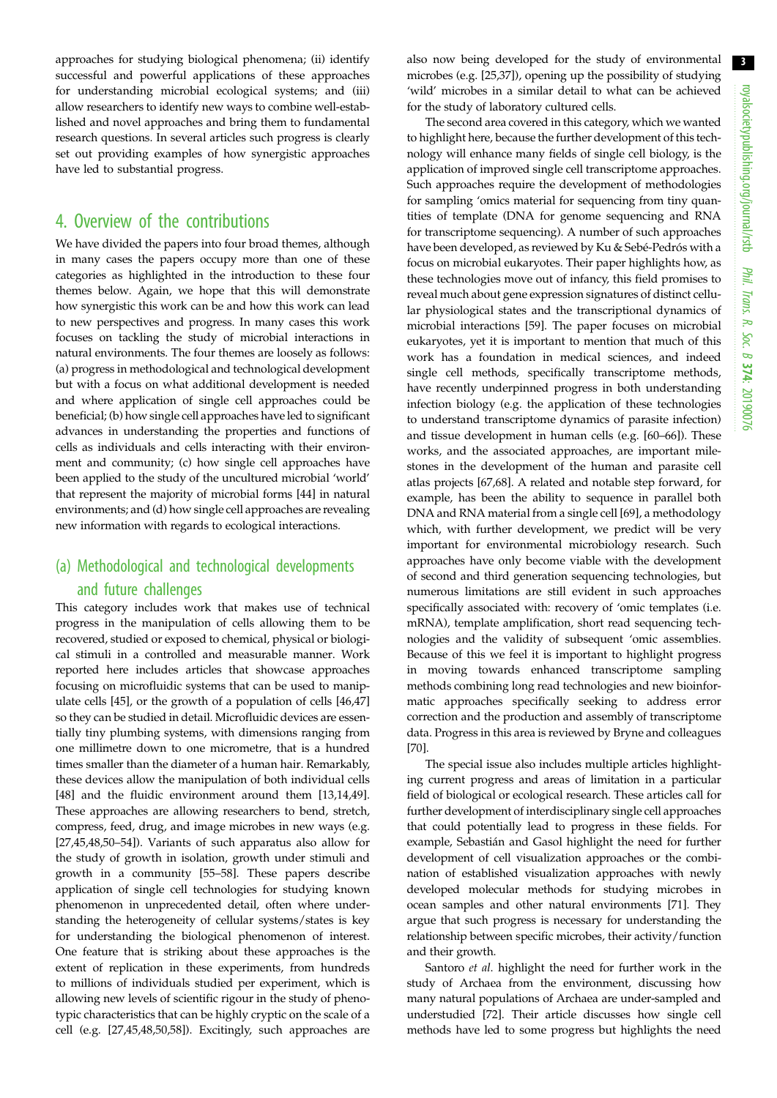approaches for studying biological phenomena; (ii) identify successful and powerful applications of these approaches for understanding microbial ecological systems; and (iii) allow researchers to identify new ways to combine well-established and novel approaches and bring them to fundamental research questions. In several articles such progress is clearly set out providing examples of how synergistic approaches have led to substantial progress.

## 4. Overview of the contributions

We have divided the papers into four broad themes, although in many cases the papers occupy more than one of these categories as highlighted in the introduction to these four themes below. Again, we hope that this will demonstrate how synergistic this work can be and how this work can lead to new perspectives and progress. In many cases this work focuses on tackling the study of microbial interactions in natural environments. The four themes are loosely as follows: (a) progress in methodological and technological development but with a focus on what additional development is needed and where application of single cell approaches could be beneficial; (b) how single cell approaches have led to significant advances in understanding the properties and functions of cells as individuals and cells interacting with their environment and community; (c) how single cell approaches have been applied to the study of the uncultured microbial 'world' that represent the majority of microbial forms [\[44](#page-6-0)] in natural environments; and (d) how single cell approaches are revealing new information with regards to ecological interactions.

## (a) Methodological and technological developments and future challenges

This category includes work that makes use of technical progress in the manipulation of cells allowing them to be recovered, studied or exposed to chemical, physical or biological stimuli in a controlled and measurable manner. Work reported here includes articles that showcase approaches focusing on microfluidic systems that can be used to manipulate cells [[45](#page-7-0)], or the growth of a population of cells [\[46](#page-7-0),[47\]](#page-7-0) so they can be studied in detail. Microfluidic devices are essentially tiny plumbing systems, with dimensions ranging from one millimetre down to one micrometre, that is a hundred times smaller than the diameter of a human hair. Remarkably, these devices allow the manipulation of both individual cells [\[48](#page-7-0)] and the fluidic environment around them [\[13,14](#page-6-0)[,49](#page-7-0)]. These approaches are allowing researchers to bend, stretch, compress, feed, drug, and image microbes in new ways (e.g. [\[27](#page-6-0),[45,48,50](#page-7-0)–[54](#page-7-0)]). Variants of such apparatus also allow for the study of growth in isolation, growth under stimuli and growth in a community [[55](#page-7-0)–[58](#page-7-0)]. These papers describe application of single cell technologies for studying known phenomenon in unprecedented detail, often where understanding the heterogeneity of cellular systems/states is key for understanding the biological phenomenon of interest. One feature that is striking about these approaches is the extent of replication in these experiments, from hundreds to millions of individuals studied per experiment, which is allowing new levels of scientific rigour in the study of phenotypic characteristics that can be highly cryptic on the scale of a cell (e.g. [[27,](#page-6-0)[45,48,50,58](#page-7-0)]). Excitingly, such approaches are

also now being developed for the study of environmental microbes (e.g. [[25,37\]](#page-6-0)), opening up the possibility of studying 'wild' microbes in a similar detail to what can be achieved for the study of laboratory cultured cells.

The second area covered in this category, which we wanted to highlight here, because the further development of this technology will enhance many fields of single cell biology, is the application of improved single cell transcriptome approaches. Such approaches require the development of methodologies for sampling 'omics material for sequencing from tiny quantities of template (DNA for genome sequencing and RNA for transcriptome sequencing). A number of such approaches have been developed, as reviewed by Ku & Sebé-Pedrós with a focus on microbial eukaryotes. Their paper highlights how, as these technologies move out of infancy, this field promises to reveal much about gene expression signatures of distinct cellular physiological states and the transcriptional dynamics of microbial interactions [\[59](#page-7-0)]. The paper focuses on microbial eukaryotes, yet it is important to mention that much of this work has a foundation in medical sciences, and indeed single cell methods, specifically transcriptome methods, have recently underpinned progress in both understanding infection biology (e.g. the application of these technologies to understand transcriptome dynamics of parasite infection) and tissue development in human cells (e.g. [\[60](#page-7-0)–[66\]](#page-7-0)). These works, and the associated approaches, are important milestones in the development of the human and parasite cell atlas projects [[67,68\]](#page-7-0). A related and notable step forward, for example, has been the ability to sequence in parallel both DNA and RNA material from a single cell [[69\]](#page-7-0), a methodology which, with further development, we predict will be very important for environmental microbiology research. Such approaches have only become viable with the development of second and third generation sequencing technologies, but numerous limitations are still evident in such approaches specifically associated with: recovery of 'omic templates (i.e. mRNA), template amplification, short read sequencing technologies and the validity of subsequent 'omic assemblies. Because of this we feel it is important to highlight progress in moving towards enhanced transcriptome sampling methods combining long read technologies and new bioinformatic approaches specifically seeking to address error correction and the production and assembly of transcriptome data. Progress in this area is reviewed by Bryne and colleagues [[70\]](#page-7-0).

The special issue also includes multiple articles highlighting current progress and areas of limitation in a particular field of biological or ecological research. These articles call for further development of interdisciplinary single cell approaches that could potentially lead to progress in these fields. For example, Sebastián and Gasol highlight the need for further development of cell visualization approaches or the combination of established visualization approaches with newly developed molecular methods for studying microbes in ocean samples and other natural environments [\[71](#page-7-0)]. They argue that such progress is necessary for understanding the relationship between specific microbes, their activity/function and their growth.

Santoro et al. highlight the need for further work in the study of Archaea from the environment, discussing how many natural populations of Archaea are under-sampled and understudied [[72\]](#page-7-0). Their article discusses how single cell methods have led to some progress but highlights the need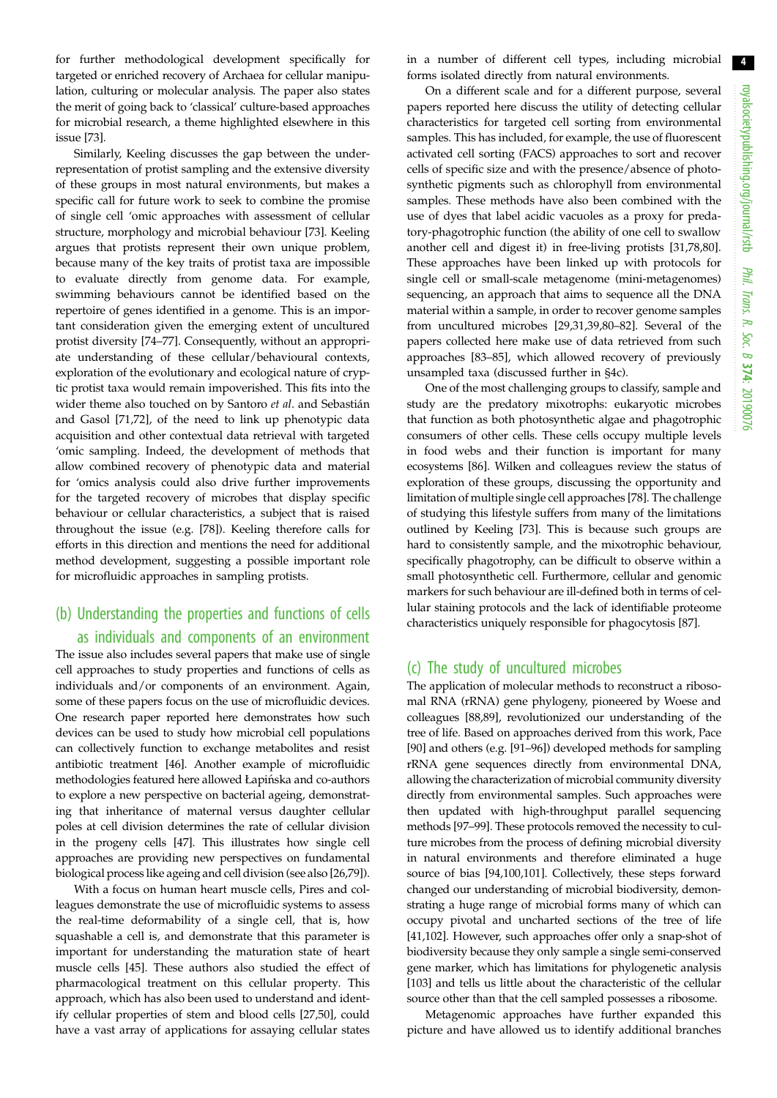for further methodological development specifically for targeted or enriched recovery of Archaea for cellular manipulation, culturing or molecular analysis. The paper also states the merit of going back to 'classical' culture-based approaches for microbial research, a theme highlighted elsewhere in this issue [\[73](#page-7-0)].

Similarly, Keeling discusses the gap between the underrepresentation of protist sampling and the extensive diversity of these groups in most natural environments, but makes a specific call for future work to seek to combine the promise of single cell 'omic approaches with assessment of cellular structure, morphology and microbial behaviour [[73\]](#page-7-0). Keeling argues that protists represent their own unique problem, because many of the key traits of protist taxa are impossible to evaluate directly from genome data. For example, swimming behaviours cannot be identified based on the repertoire of genes identified in a genome. This is an important consideration given the emerging extent of uncultured protist diversity [\[74](#page-7-0)–[77](#page-7-0)]. Consequently, without an appropriate understanding of these cellular/behavioural contexts, exploration of the evolutionary and ecological nature of cryptic protist taxa would remain impoverished. This fits into the wider theme also touched on by Santoro et al. and Sebastián and Gasol [\[71,72](#page-7-0)], of the need to link up phenotypic data acquisition and other contextual data retrieval with targeted 'omic sampling. Indeed, the development of methods that allow combined recovery of phenotypic data and material for 'omics analysis could also drive further improvements for the targeted recovery of microbes that display specific behaviour or cellular characteristics, a subject that is raised throughout the issue (e.g. [[78\]](#page-7-0)). Keeling therefore calls for efforts in this direction and mentions the need for additional method development, suggesting a possible important role for microfluidic approaches in sampling protists.

### (b) Understanding the properties and functions of cells as individuals and components of an environment

The issue also includes several papers that make use of single cell approaches to study properties and functions of cells as individuals and/or components of an environment. Again, some of these papers focus on the use of microfluidic devices. One research paper reported here demonstrates how such devices can be used to study how microbial cell populations can collectively function to exchange metabolites and resist antibiotic treatment [[46](#page-7-0)]. Another example of microfluidic methodologies featured here allowed Łapiń ska and co-authors to explore a new perspective on bacterial ageing, demonstrating that inheritance of maternal versus daughter cellular poles at cell division determines the rate of cellular division in the progeny cells [[47\]](#page-7-0). This illustrates how single cell approaches are providing new perspectives on fundamental biological process like ageing and cell division (see also [[26](#page-6-0),[79\]](#page-7-0)).

With a focus on human heart muscle cells, Pires and colleagues demonstrate the use of microfluidic systems to assess the real-time deformability of a single cell, that is, how squashable a cell is, and demonstrate that this parameter is important for understanding the maturation state of heart muscle cells [[45\]](#page-7-0). These authors also studied the effect of pharmacological treatment on this cellular property. This approach, which has also been used to understand and identify cellular properties of stem and blood cells [[27,](#page-6-0)[50\]](#page-7-0), could have a vast array of applications for assaying cellular states

in a number of different cell types, including microbial forms isolated directly from natural environments.

On a different scale and for a different purpose, several papers reported here discuss the utility of detecting cellular characteristics for targeted cell sorting from environmental samples. This has included, for example, the use of fluorescent activated cell sorting (FACS) approaches to sort and recover cells of specific size and with the presence/absence of photosynthetic pigments such as chlorophyll from environmental samples. These methods have also been combined with the use of dyes that label acidic vacuoles as a proxy for predatory-phagotrophic function (the ability of one cell to swallow another cell and digest it) in free-living protists [\[31](#page-6-0)[,78](#page-7-0),[80\]](#page-7-0). These approaches have been linked up with protocols for single cell or small-scale metagenome (mini-metagenomes) sequencing, an approach that aims to sequence all the DNA material within a sample, in order to recover genome samples from uncultured microbes [[29,31,39](#page-6-0)[,80](#page-7-0)–[82\]](#page-7-0). Several of the papers collected here make use of data retrieved from such approaches [[83](#page-7-0)–[85](#page-7-0)], which allowed recovery of previously unsampled taxa (discussed further in §4c).

One of the most challenging groups to classify, sample and study are the predatory mixotrophs: eukaryotic microbes that function as both photosynthetic algae and phagotrophic consumers of other cells. These cells occupy multiple levels in food webs and their function is important for many ecosystems [[86](#page-7-0)]. Wilken and colleagues review the status of exploration of these groups, discussing the opportunity and limitation of multiple single cell approaches [[78\]](#page-7-0). The challenge of studying this lifestyle suffers from many of the limitations outlined by Keeling [[73\]](#page-7-0). This is because such groups are hard to consistently sample, and the mixotrophic behaviour, specifically phagotrophy, can be difficult to observe within a small photosynthetic cell. Furthermore, cellular and genomic markers for such behaviour are ill-defined both in terms of cellular staining protocols and the lack of identifiable proteome characteristics uniquely responsible for phagocytosis [[87\]](#page-8-0).

#### (c) The study of uncultured microbes

The application of molecular methods to reconstruct a ribosomal RNA (rRNA) gene phylogeny, pioneered by Woese and colleagues [\[88,89](#page-8-0)], revolutionized our understanding of the tree of life. Based on approaches derived from this work, Pace [[90\]](#page-8-0) and others (e.g. [[91](#page-8-0)–[96](#page-8-0)]) developed methods for sampling rRNA gene sequences directly from environmental DNA, allowing the characterization of microbial community diversity directly from environmental samples. Such approaches were then updated with high-throughput parallel sequencing methods [\[97](#page-8-0)–[99\]](#page-8-0). These protocols removed the necessity to culture microbes from the process of defining microbial diversity in natural environments and therefore eliminated a huge source of bias [[94](#page-8-0),[100,101](#page-8-0)]. Collectively, these steps forward changed our understanding of microbial biodiversity, demonstrating a huge range of microbial forms many of which can occupy pivotal and uncharted sections of the tree of life [[41,](#page-6-0)[102](#page-8-0)]. However, such approaches offer only a snap-shot of biodiversity because they only sample a single semi-conserved gene marker, which has limitations for phylogenetic analysis [[103\]](#page-8-0) and tells us little about the characteristic of the cellular source other than that the cell sampled possesses a ribosome.

Metagenomic approaches have further expanded this picture and have allowed us to identify additional branches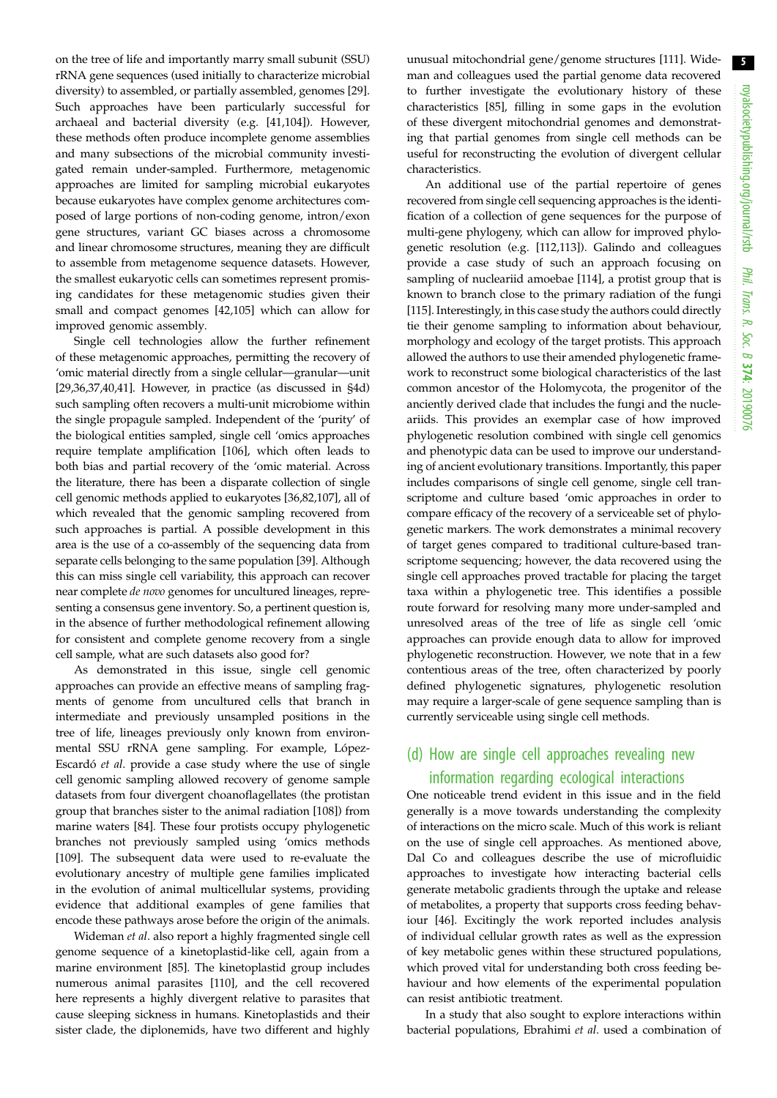on the tree of life and importantly marry small subunit (SSU) rRNA gene sequences (used initially to characterize microbial diversity) to assembled, or partially assembled, genomes [\[29](#page-6-0)]. Such approaches have been particularly successful for archaeal and bacterial diversity (e.g. [\[41](#page-6-0)[,104\]](#page-8-0)). However, these methods often produce incomplete genome assemblies and many subsections of the microbial community investigated remain under-sampled. Furthermore, metagenomic approaches are limited for sampling microbial eukaryotes because eukaryotes have complex genome architectures composed of large portions of non-coding genome, intron/exon gene structures, variant GC biases across a chromosome and linear chromosome structures, meaning they are difficult to assemble from metagenome sequence datasets. However, the smallest eukaryotic cells can sometimes represent promising candidates for these metagenomic studies given their small and compact genomes [\[42](#page-6-0),[105](#page-8-0)] which can allow for improved genomic assembly.

Single cell technologies allow the further refinement of these metagenomic approaches, permitting the recovery of 'omic material directly from a single cellular—granular—unit [\[29,36](#page-6-0),[37](#page-6-0),[40,41\]](#page-6-0). However, in practice (as discussed in §4d) such sampling often recovers a multi-unit microbiome within the single propagule sampled. Independent of the 'purity' of the biological entities sampled, single cell 'omics approaches require template amplification [\[106\]](#page-8-0), which often leads to both bias and partial recovery of the 'omic material. Across the literature, there has been a disparate collection of single cell genomic methods applied to eukaryotes [[36](#page-6-0),[82,](#page-7-0)[107](#page-8-0)], all of which revealed that the genomic sampling recovered from such approaches is partial. A possible development in this area is the use of a co-assembly of the sequencing data from separate cells belonging to the same population [\[39\]](#page-6-0). Although this can miss single cell variability, this approach can recover near complete de novo genomes for uncultured lineages, representing a consensus gene inventory. So, a pertinent question is, in the absence of further methodological refinement allowing for consistent and complete genome recovery from a single cell sample, what are such datasets also good for?

As demonstrated in this issue, single cell genomic approaches can provide an effective means of sampling fragments of genome from uncultured cells that branch in intermediate and previously unsampled positions in the tree of life, lineages previously only known from environmental SSU rRNA gene sampling. For example, López-Escardó et al. provide a case study where the use of single cell genomic sampling allowed recovery of genome sample datasets from four divergent choanoflagellates (the protistan group that branches sister to the animal radiation [[108](#page-8-0)]) from marine waters [\[84](#page-7-0)]. These four protists occupy phylogenetic branches not previously sampled using 'omics methods [\[109\]](#page-8-0). The subsequent data were used to re-evaluate the evolutionary ancestry of multiple gene families implicated in the evolution of animal multicellular systems, providing evidence that additional examples of gene families that encode these pathways arose before the origin of the animals.

Wideman et al. also report a highly fragmented single cell genome sequence of a kinetoplastid-like cell, again from a marine environment [\[85](#page-7-0)]. The kinetoplastid group includes numerous animal parasites [\[110](#page-8-0)], and the cell recovered here represents a highly divergent relative to parasites that cause sleeping sickness in humans. Kinetoplastids and their sister clade, the diplonemids, have two different and highly unusual mitochondrial gene/genome structures [\[111\]](#page-8-0). Wideman and colleagues used the partial genome data recovered to further investigate the evolutionary history of these characteristics [[85\]](#page-7-0), filling in some gaps in the evolution of these divergent mitochondrial genomes and demonstrating that partial genomes from single cell methods can be useful for reconstructing the evolution of divergent cellular characteristics.

An additional use of the partial repertoire of genes recovered from single cell sequencing approaches is the identification of a collection of gene sequences for the purpose of multi-gene phylogeny, which can allow for improved phylogenetic resolution (e.g. [[112,113\]](#page-8-0)). Galindo and colleagues provide a case study of such an approach focusing on sampling of nucleariid amoebae [\[114](#page-8-0)], a protist group that is known to branch close to the primary radiation of the fungi [[115\]](#page-8-0). Interestingly, in this case study the authors could directly tie their genome sampling to information about behaviour, morphology and ecology of the target protists. This approach allowed the authors to use their amended phylogenetic framework to reconstruct some biological characteristics of the last common ancestor of the Holomycota, the progenitor of the anciently derived clade that includes the fungi and the nucleariids. This provides an exemplar case of how improved phylogenetic resolution combined with single cell genomics and phenotypic data can be used to improve our understanding of ancient evolutionary transitions. Importantly, this paper includes comparisons of single cell genome, single cell transcriptome and culture based 'omic approaches in order to compare efficacy of the recovery of a serviceable set of phylogenetic markers. The work demonstrates a minimal recovery of target genes compared to traditional culture-based transcriptome sequencing; however, the data recovered using the single cell approaches proved tractable for placing the target taxa within a phylogenetic tree. This identifies a possible route forward for resolving many more under-sampled and unresolved areas of the tree of life as single cell 'omic approaches can provide enough data to allow for improved phylogenetic reconstruction. However, we note that in a few contentious areas of the tree, often characterized by poorly defined phylogenetic signatures, phylogenetic resolution may require a larger-scale of gene sequence sampling than is currently serviceable using single cell methods.

### (d) How are single cell approaches revealing new information regarding ecological interactions

One noticeable trend evident in this issue and in the field generally is a move towards understanding the complexity of interactions on the micro scale. Much of this work is reliant on the use of single cell approaches. As mentioned above, Dal Co and colleagues describe the use of microfluidic approaches to investigate how interacting bacterial cells generate metabolic gradients through the uptake and release of metabolites, a property that supports cross feeding behaviour [\[46](#page-7-0)]. Excitingly the work reported includes analysis of individual cellular growth rates as well as the expression of key metabolic genes within these structured populations, which proved vital for understanding both cross feeding behaviour and how elements of the experimental population can resist antibiotic treatment.

In a study that also sought to explore interactions within bacterial populations, Ebrahimi et al. used a combination of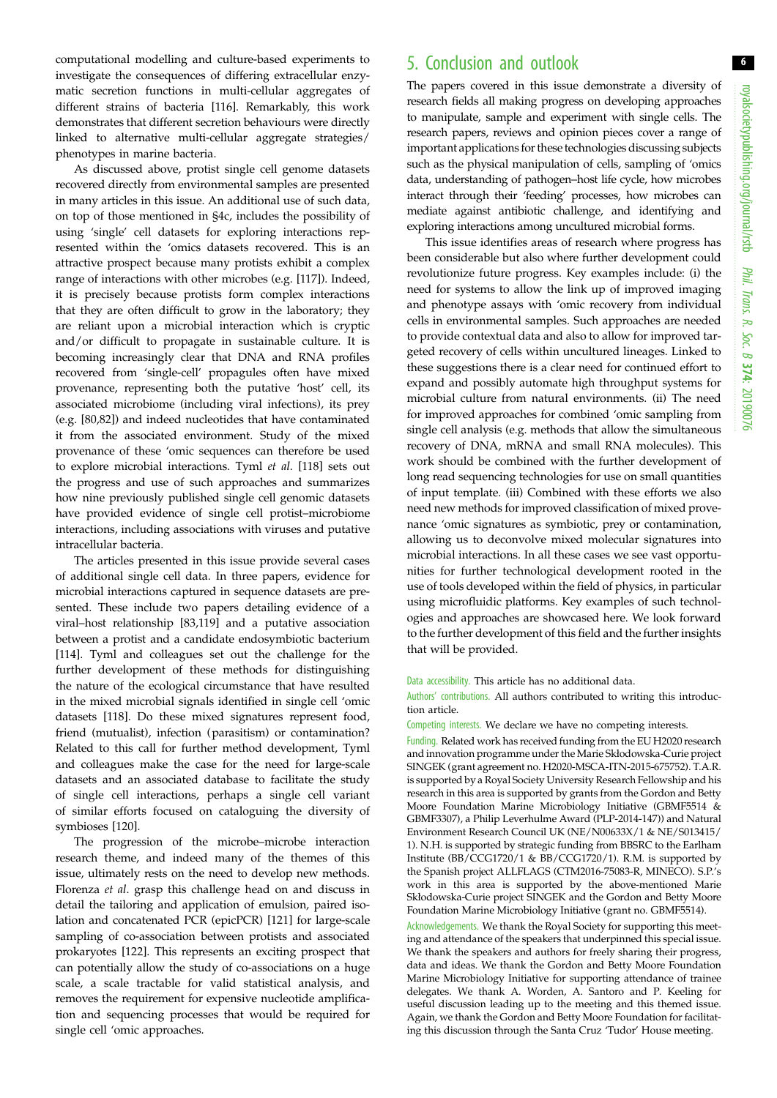computational modelling and culture-based experiments to investigate the consequences of differing extracellular enzymatic secretion functions in multi-cellular aggregates of different strains of bacteria [[116\]](#page-8-0). Remarkably, this work demonstrates that different secretion behaviours were directly linked to alternative multi-cellular aggregate strategies/ phenotypes in marine bacteria.

As discussed above, protist single cell genome datasets recovered directly from environmental samples are presented in many articles in this issue. An additional use of such data, on top of those mentioned in §4c, includes the possibility of using 'single' cell datasets for exploring interactions represented within the 'omics datasets recovered. This is an attractive prospect because many protists exhibit a complex range of interactions with other microbes (e.g. [\[117](#page-8-0)]). Indeed, it is precisely because protists form complex interactions that they are often difficult to grow in the laboratory; they are reliant upon a microbial interaction which is cryptic and/or difficult to propagate in sustainable culture. It is becoming increasingly clear that DNA and RNA profiles recovered from 'single-cell' propagules often have mixed provenance, representing both the putative 'host' cell, its associated microbiome (including viral infections), its prey (e.g. [\[80,82](#page-7-0)]) and indeed nucleotides that have contaminated it from the associated environment. Study of the mixed provenance of these 'omic sequences can therefore be used to explore microbial interactions. Tyml et al. [\[118\]](#page-8-0) sets out the progress and use of such approaches and summarizes how nine previously published single cell genomic datasets have provided evidence of single cell protist–microbiome interactions, including associations with viruses and putative intracellular bacteria.

The articles presented in this issue provide several cases of additional single cell data. In three papers, evidence for microbial interactions captured in sequence datasets are presented. These include two papers detailing evidence of a viral–host relationship [[83](#page-7-0)[,119](#page-8-0)] and a putative association between a protist and a candidate endosymbiotic bacterium [\[114](#page-8-0)]. Tyml and colleagues set out the challenge for the further development of these methods for distinguishing the nature of the ecological circumstance that have resulted in the mixed microbial signals identified in single cell 'omic datasets [\[118](#page-8-0)]. Do these mixed signatures represent food, friend (mutualist), infection (parasitism) or contamination? Related to this call for further method development, Tyml and colleagues make the case for the need for large-scale datasets and an associated database to facilitate the study of single cell interactions, perhaps a single cell variant of similar efforts focused on cataloguing the diversity of symbioses [[120](#page-8-0)].

The progression of the microbe–microbe interaction research theme, and indeed many of the themes of this issue, ultimately rests on the need to develop new methods. Florenza et al. grasp this challenge head on and discuss in detail the tailoring and application of emulsion, paired isolation and concatenated PCR (epicPCR) [[121](#page-8-0)] for large-scale sampling of co-association between protists and associated prokaryotes [\[122\]](#page-8-0). This represents an exciting prospect that can potentially allow the study of co-associations on a huge scale, a scale tractable for valid statistical analysis, and removes the requirement for expensive nucleotide amplification and sequencing processes that would be required for single cell 'omic approaches.

#### 5. Conclusion and outlook

The papers covered in this issue demonstrate a diversity of research fields all making progress on developing approaches to manipulate, sample and experiment with single cells. The research papers, reviews and opinion pieces cover a range of important applications for these technologies discussing subjects such as the physical manipulation of cells, sampling of 'omics data, understanding of pathogen–host life cycle, how microbes interact through their 'feeding' processes, how microbes can mediate against antibiotic challenge, and identifying and exploring interactions among uncultured microbial forms.

This issue identifies areas of research where progress has been considerable but also where further development could revolutionize future progress. Key examples include: (i) the need for systems to allow the link up of improved imaging and phenotype assays with 'omic recovery from individual cells in environmental samples. Such approaches are needed to provide contextual data and also to allow for improved targeted recovery of cells within uncultured lineages. Linked to these suggestions there is a clear need for continued effort to expand and possibly automate high throughput systems for microbial culture from natural environments. (ii) The need for improved approaches for combined 'omic sampling from single cell analysis (e.g. methods that allow the simultaneous recovery of DNA, mRNA and small RNA molecules). This work should be combined with the further development of long read sequencing technologies for use on small quantities of input template. (iii) Combined with these efforts we also need new methods for improved classification of mixed provenance 'omic signatures as symbiotic, prey or contamination, allowing us to deconvolve mixed molecular signatures into microbial interactions. In all these cases we see vast opportunities for further technological development rooted in the use of tools developed within the field of physics, in particular using microfluidic platforms. Key examples of such technologies and approaches are showcased here. We look forward to the further development of this field and the further insights that will be provided.

#### Data accessibility. This article has no additional data.

Authors' contributions. All authors contributed to writing this introduction article.

Competing interests. We declare we have no competing interests.

Funding. Related work has received funding from the EU H2020 research and innovation programme under the Marie Skłodowska-Curie project SINGEK (grant agreement no. H2020-MSCA-ITN-2015-675752). T.A.R. is supported by a Royal Society University Research Fellowship and his research in this area is supported by grants from the Gordon and Betty Moore Foundation Marine Microbiology Initiative (GBMF5514 & GBMF3307), a Philip Leverhulme Award (PLP-2014-147)) and Natural Environment Research Council UK (NE/N00633X/1 & NE/S013415/ 1). N.H. is supported by strategic funding from BBSRC to the Earlham Institute (BB/CCG1720/1 & BB/CCG1720/1). R.M. is supported by the Spanish project ALLFLAGS (CTM2016-75083-R, MINECO). S.P.'s work in this area is supported by the above-mentioned Marie Skłodowska-Curie project SINGEK and the Gordon and Betty Moore Foundation Marine Microbiology Initiative (grant no. GBMF5514).

Acknowledgements. We thank the Royal Society for supporting this meeting and attendance of the speakers that underpinned this special issue. We thank the speakers and authors for freely sharing their progress, data and ideas. We thank the Gordon and Betty Moore Foundation Marine Microbiology Initiative for supporting attendance of trainee delegates. We thank A. Worden, A. Santoro and P. Keeling for useful discussion leading up to the meeting and this themed issue. Again, we thank the Gordon and Betty Moore Foundation for facilitating this discussion through the Santa Cruz 'Tudor' House meeting.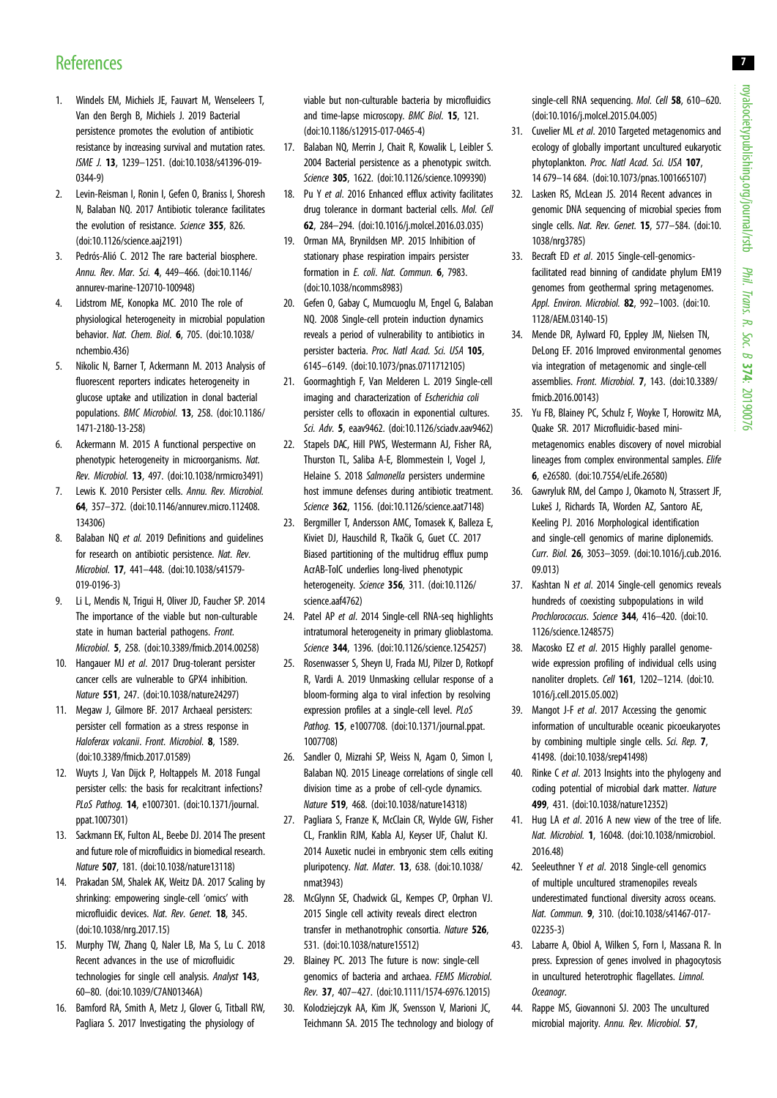- <span id="page-6-0"></span>1. Windels EM, Michiels JE, Fauvart M, Wenseleers T, Van den Bergh B, Michiels J. 2019 Bacterial persistence promotes the evolution of antibiotic resistance by increasing survival and mutation rates. ISME J. 13, 1239–1251. ([doi:10.1038/s41396-019-](http://dx.doi.org/10.1038/s41396-019-0344-9) [0344-9](http://dx.doi.org/10.1038/s41396-019-0344-9))
- 2. Levin-Reisman I, Ronin I, Gefen O, Braniss I, Shoresh N, Balaban NQ. 2017 Antibiotic tolerance facilitates the evolution of resistance. Science 355, 826. [\(doi:10.1126/science.aaj2191](http://dx.doi.org/10.1126/science.aaj2191))
- 3. Pedrós-Alió C. 2012 The rare bacterial biosphere. Annu. Rev. Mar. Sci. 4, 449–466. [\(doi:10.1146/](http://dx.doi.org/10.1146/annurev-marine-120710-100948) [annurev-marine-120710-100948](http://dx.doi.org/10.1146/annurev-marine-120710-100948))
- 4. Lidstrom ME, Konopka MC. 2010 The role of physiological heterogeneity in microbial population behavior. Nat. Chem. Biol. 6, 705. [\(doi:10.1038/](http://dx.doi.org/10.1038/nchembio.436) [nchembio.436\)](http://dx.doi.org/10.1038/nchembio.436)
- 5. Nikolic N, Barner T, Ackermann M. 2013 Analysis of fluorescent reporters indicates heterogeneity in glucose uptake and utilization in clonal bacterial populations. BMC Microbiol. 13, 258. [\(doi:10.1186/](http://dx.doi.org/10.1186/1471-2180-13-258) [1471-2180-13-258](http://dx.doi.org/10.1186/1471-2180-13-258))
- 6. Ackermann M. 2015 A functional perspective on phenotypic heterogeneity in microorganisms. Nat. Rev. Microbiol. 13, 497. ([doi:10.1038/nrmicro3491](http://dx.doi.org/10.1038/nrmicro3491))
- 7. Lewis K. 2010 Persister cells. Annu. Rev. Microbiol. 64, 357–372. ([doi:10.1146/annurev.micro.112408.](http://dx.doi.org/10.1146/annurev.micro.112408.134306) [134306](http://dx.doi.org/10.1146/annurev.micro.112408.134306))
- 8. Balaban NQ et al. 2019 Definitions and quidelines for research on antibiotic persistence. Nat. Rev. Microbiol. 17, 441–448. [\(doi:10.1038/s41579-](http://dx.doi.org/10.1038/s41579-019-0196-3) [019-0196-3\)](http://dx.doi.org/10.1038/s41579-019-0196-3)
- 9. Li L, Mendis N, Trigui H, Oliver JD, Faucher SP. 2014 The importance of the viable but non-culturable state in human bacterial pathogens. Front. Microbiol. 5, 258. ([doi:10.3389/fmicb.2014.00258](http://dx.doi.org/10.3389/fmicb.2014.00258))
- 10. Hangauer MJ et al. 2017 Drug-tolerant persister cancer cells are vulnerable to GPX4 inhibition. Nature 551, 247. ([doi:10.1038/nature24297\)](http://dx.doi.org/10.1038/nature24297)
- 11. Megaw J, Gilmore BF. 2017 Archaeal persisters: persister cell formation as a stress response in Haloferax volcanii. Front. Microbiol. 8, 1589. [\(doi:10.3389/fmicb.2017.01589\)](http://dx.doi.org/10.3389/fmicb.2017.01589)
- 12. Wuyts J, Van Dijck P, Holtappels M. 2018 Fungal persister cells: the basis for recalcitrant infections? PLoS Pathog. 14, e1007301. ([doi:10.1371/journal.](http://dx.doi.org/10.1371/journal.ppat.1007301) [ppat.1007301\)](http://dx.doi.org/10.1371/journal.ppat.1007301)
- 13. Sackmann EK, Fulton AL, Beebe DJ. 2014 The present and future role of microfluidics in biomedical research. Nature 507, 181. ([doi:10.1038/nature13118\)](http://dx.doi.org/10.1038/nature13118)
- 14. Prakadan SM, Shalek AK, Weitz DA. 2017 Scaling by shrinking: empowering single-cell 'omics' with microfluidic devices. Nat. Rev. Genet. 18, 345. [\(doi:10.1038/nrg.2017.15\)](http://dx.doi.org/10.1038/nrg.2017.15)
- 15. Murphy TW, Zhang Q, Naler LB, Ma S, Lu C. 2018 Recent advances in the use of microfluidic technologies for single cell analysis. Analyst 143, 60–80. [\(doi:10.1039/C7AN01346A\)](http://dx.doi.org/10.1039/C7AN01346A)
- 16. Bamford RA, Smith A, Metz J, Glover G, Titball RW, Pagliara S. 2017 Investigating the physiology of

viable but non-culturable bacteria by microfluidics and time-lapse microscopy. BMC Biol. 15, 121. [\(doi:10.1186/s12915-017-0465-4](http://dx.doi.org/10.1186/s12915-017-0465-4))

- 17. Balaban NQ, Merrin J, Chait R, Kowalik L, Leibler S. 2004 Bacterial persistence as a phenotypic switch. Science 305, 1622. [\(doi:10.1126/science.1099390\)](http://dx.doi.org/10.1126/science.1099390)
- 18. Pu Y et al. 2016 Enhanced efflux activity facilitates drug tolerance in dormant bacterial cells. Mol. Cell 62, 284–294. ([doi:10.1016/j.molcel.2016.03.035](http://dx.doi.org/10.1016/j.molcel.2016.03.035))
- 19. Orman MA, Brynildsen MP. 2015 Inhibition of stationary phase respiration impairs persister formation in E. coli. Nat. Commun. 6, 7983. [\(doi:10.1038/ncomms8983](http://dx.doi.org/10.1038/ncomms8983))
- 20. Gefen O, Gabay C, Mumcuoglu M, Engel G, Balaban NQ. 2008 Single-cell protein induction dynamics reveals a period of vulnerability to antibiotics in persister bacteria. Proc. Natl Acad. Sci. USA 105, 6145–6149. [\(doi:10.1073/pnas.0711712105](http://dx.doi.org/10.1073/pnas.0711712105))
- 21. Goormaghtigh F, Van Melderen L. 2019 Single-cell imaging and characterization of Escherichia coli persister cells to ofloxacin in exponential cultures. Sci. Adv. 5, eaav9462. [\(doi:10.1126/sciadv.aav9462\)](http://dx.doi.org/10.1126/sciadv.aav9462)
- 22. Stapels DAC, Hill PWS, Westermann AJ, Fisher RA, Thurston TL, Saliba A-E, Blommestein I, Vogel J, Helaine S. 2018 Salmonella persisters undermine host immune defenses during antibiotic treatment. Science 362, 1156. [\(doi:10.1126/science.aat7148\)](http://dx.doi.org/10.1126/science.aat7148)
- 23. Bergmiller T, Andersson AMC, Tomasek K, Balleza E, Kiviet DJ, Hauschild R, Tkačik G, Guet CC. 2017 Biased partitioning of the multidrug efflux pump AcrAB-TolC underlies long-lived phenotypic heterogeneity. Science 356, 311. [\(doi:10.1126/](http://dx.doi.org/10.1126/science.aaf4762) [science.aaf4762\)](http://dx.doi.org/10.1126/science.aaf4762)
- 24. Patel AP et al. 2014 Single-cell RNA-seq highlights intratumoral heterogeneity in primary glioblastoma. Science 344, 1396. [\(doi:10.1126/science.1254257\)](http://dx.doi.org/10.1126/science.1254257)
- 25. Rosenwasser S, Sheyn U, Frada MJ, Pilzer D, Rotkopf R, Vardi A. 2019 Unmasking cellular response of a bloom-forming alga to viral infection by resolving expression profiles at a single-cell level. PLoS Pathog. 15, e1007708. [\(doi:10.1371/journal.ppat.](http://dx.doi.org/10.1371/journal.ppat.1007708) [1007708\)](http://dx.doi.org/10.1371/journal.ppat.1007708)
- 26. Sandler O, Mizrahi SP, Weiss N, Agam O, Simon I, Balaban NQ. 2015 Lineage correlations of single cell division time as a probe of cell-cycle dynamics. Nature 519, 468. ([doi:10.1038/nature14318\)](http://dx.doi.org/10.1038/nature14318)
- 27. Pagliara S, Franze K, McClain CR, Wylde GW, Fisher CL, Franklin RJM, Kabla AJ, Keyser UF, Chalut KJ. 2014 Auxetic nuclei in embryonic stem cells exiting pluripotency. Nat. Mater. 13, 638. [\(doi:10.1038/](http://dx.doi.org/10.1038/nmat3943) [nmat3943\)](http://dx.doi.org/10.1038/nmat3943)
- 28. McGlynn SE, Chadwick GL, Kempes CP, Orphan VJ. 2015 Single cell activity reveals direct electron transfer in methanotrophic consortia. Nature 526, 531. ([doi:10.1038/nature15512\)](http://dx.doi.org/10.1038/nature15512)
- 29. Blainey PC. 2013 The future is now: single-cell genomics of bacteria and archaea. FEMS Microbiol. Rev. 37, 407–427. ([doi:10.1111/1574-6976.12015](http://dx.doi.org/10.1111/1574-6976.12015))
- 30. Kolodziejczyk AA, Kim JK, Svensson V, Marioni JC, Teichmann SA. 2015 The technology and biology of

single-cell RNA sequencing. Mol. Cell 58, 610-620. ([doi:10.1016/j.molcel.2015.04.005](http://dx.doi.org/10.1016/j.molcel.2015.04.005))

- 31. Cuvelier ML et al. 2010 Targeted metagenomics and ecology of globally important uncultured eukaryotic phytoplankton. Proc. Natl Acad. Sci. USA 107, 14 679–14 684. [\(doi:10.1073/pnas.1001665107](http://dx.doi.org/10.1073/pnas.1001665107))
- 32. Lasken RS, McLean JS. 2014 Recent advances in genomic DNA sequencing of microbial species from single cells. Nat. Rev. Genet. **15**, 577-584. [\(doi:10.](http://dx.doi.org/10.1038/nrg3785) [1038/nrg3785](http://dx.doi.org/10.1038/nrg3785))
- 33. Becraft ED et al. 2015 Single-cell-genomicsfacilitated read binning of candidate phylum EM19 genomes from geothermal spring metagenomes. Appl. Environ. Microbiol. 82, 992–1003. ([doi:10.](http://dx.doi.org/10.1128/AEM.03140-15) [1128/AEM.03140-15\)](http://dx.doi.org/10.1128/AEM.03140-15)
- 34. Mende DR, Aylward FO, Eppley JM, Nielsen TN, DeLong EF. 2016 Improved environmental genomes via integration of metagenomic and single-cell assemblies. Front. Microbiol. 7, 143. [\(doi:10.3389/](http://dx.doi.org/10.3389/fmicb.2016.00143) [fmicb.2016.00143\)](http://dx.doi.org/10.3389/fmicb.2016.00143)
- 35. Yu FB, Blainey PC, Schulz F, Woyke T, Horowitz MA, Quake SR. 2017 Microfluidic-based minimetagenomics enables discovery of novel microbial lineages from complex environmental samples. Elife 6, e26580. [\(doi:10.7554/eLife.26580](http://dx.doi.org/10.7554/eLife.26580))
- 36. Gawryluk RM, del Campo J, Okamoto N, Strassert JF, Lukeš J, Richards TA, Worden AZ, Santoro AE, Keeling PJ. 2016 Morphological identification and single-cell genomics of marine diplonemids. Curr. Biol. 26, 3053–3059. [\(doi:10.1016/j.cub.2016.](http://dx.doi.org/10.1016/j.cub.2016.09.013) [09.013](http://dx.doi.org/10.1016/j.cub.2016.09.013))
- 37. Kashtan N et al. 2014 Single-cell genomics reveals hundreds of coexisting subpopulations in wild Prochlorococcus. Science 344, 416-420. ([doi:10.](http://dx.doi.org/10.1126/science.1248575) [1126/science.1248575](http://dx.doi.org/10.1126/science.1248575))
- 38. Macosko EZ et al. 2015 Highly parallel genomewide expression profiling of individual cells using nanoliter droplets. Cell 161, 1202–1214. ([doi:10.](http://dx.doi.org/10.1016/j.cell.2015.05.002) [1016/j.cell.2015.05.002\)](http://dx.doi.org/10.1016/j.cell.2015.05.002)
- 39. Mangot J-F et al. 2017 Accessing the genomic information of unculturable oceanic picoeukaryotes by combining multiple single cells. Sci. Rep. 7, 41498. [\(doi:10.1038/srep41498](http://dx.doi.org/10.1038/srep41498))
- 40. Rinke C et al. 2013 Insights into the phylogeny and coding potential of microbial dark matter. Nature 499, 431. ([doi:10.1038/nature12352\)](http://dx.doi.org/10.1038/nature12352)
- 41. Hug LA et al. 2016 A new view of the tree of life. Nat. Microbiol. 1, 16048. [\(doi:10.1038/nmicrobiol.](http://dx.doi.org/10.1038/nmicrobiol.2016.48) [2016.48\)](http://dx.doi.org/10.1038/nmicrobiol.2016.48)
- 42. Seeleuthner Y et al. 2018 Single-cell genomics of multiple uncultured stramenopiles reveals underestimated functional diversity across oceans. Nat. Commun. 9, 310. ([doi:10.1038/s41467-017-](http://dx.doi.org/10.1038/s41467-017-02235-3) [02235-3](http://dx.doi.org/10.1038/s41467-017-02235-3))
- 43. Labarre A, Obiol A, Wilken S, Forn I, Massana R. In press. Expression of genes involved in phagocytosis in uncultured heterotrophic flagellates. Limnol. Oceanogr.
- 44. Rappe MS, Giovannoni SJ. 2003 The uncultured microbial majority. Annu. Rev. Microbiol. 57,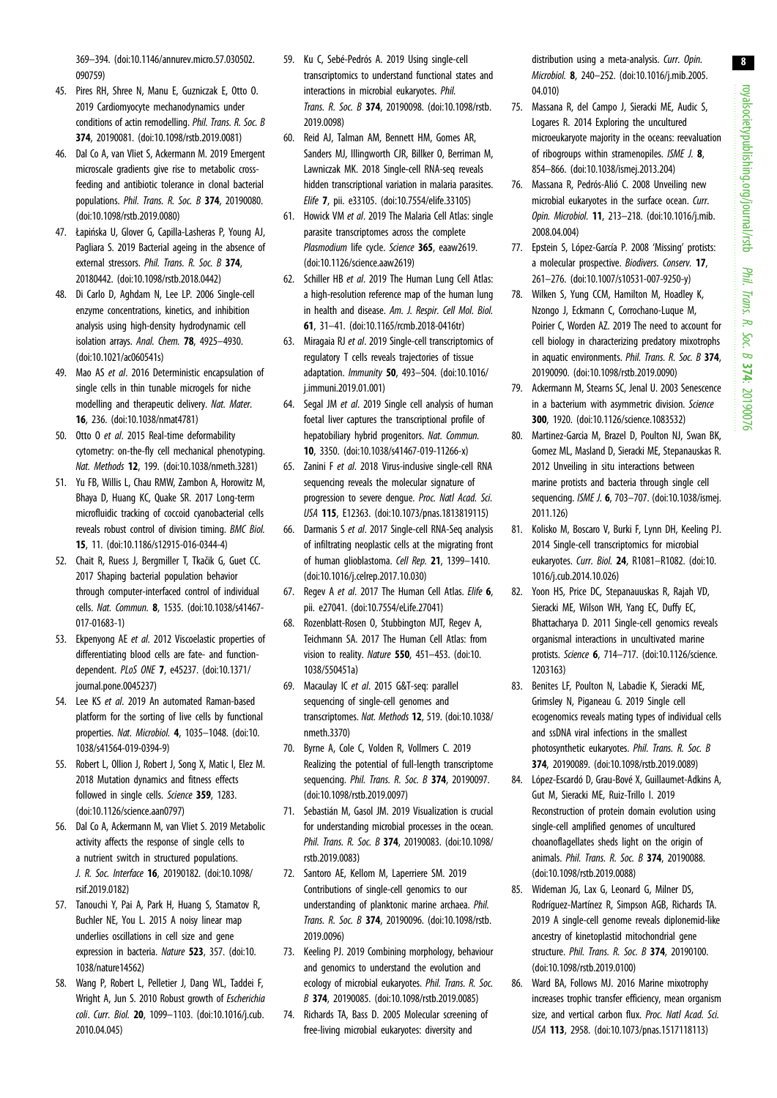<span id="page-7-0"></span>369–394. ([doi:10.1146/annurev.micro.57.030502.](http://dx.doi.org/10.1146/annurev.micro.57.030502.090759) [090759](http://dx.doi.org/10.1146/annurev.micro.57.030502.090759))

- 45. Pires RH, Shree N, Manu E, Guzniczak E, Otto O. 2019 Cardiomyocyte mechanodynamics under conditions of actin remodelling. Phil. Trans. R. Soc. B 374, 20190081. ([doi:10.1098/rstb.2019.0081](http://dx.doi.org/10.1098/rstb.2019.0081))
- 46. Dal Co A, van Vliet S, Ackermann M. 2019 Emergent microscale gradients give rise to metabolic crossfeeding and antibiotic tolerance in clonal bacterial populations. Phil. Trans. R. Soc. B 374, 20190080. [\(doi:10.1098/rstb.2019.0080\)](http://dx.doi.org/10.1098/rstb.2019.0080)
- 47. Łapińska U, Glover G, Capilla-Lasheras P, Young AJ, Pagliara S. 2019 Bacterial ageing in the absence of external stressors. Phil. Trans. R. Soc. B 374, 20180442. [\(doi:10.1098/rstb.2018.0442](http://dx.doi.org/10.1098/rstb.2018.0442))
- 48. Di Carlo D, Aghdam N, Lee LP. 2006 Single-cell enzyme concentrations, kinetics, and inhibition analysis using high-density hydrodynamic cell isolation arrays. Anal. Chem. 78, 4925–4930. [\(doi:10.1021/ac060541s](http://dx.doi.org/10.1021/ac060541s))
- 49. Mao AS et al. 2016 Deterministic encapsulation of single cells in thin tunable microgels for niche modelling and therapeutic delivery. Nat. Mater. 16, 236. [\(doi:10.1038/nmat4781\)](http://dx.doi.org/10.1038/nmat4781)
- 50. Otto O et al. 2015 Real-time deformability cytometry: on-the-fly cell mechanical phenotyping. Nat. Methods 12, 199. [\(doi:10.1038/nmeth.3281](http://dx.doi.org/10.1038/nmeth.3281))
- 51. Yu FB, Willis L, Chau RMW, Zambon A, Horowitz M, Bhaya D, Huang KC, Quake SR. 2017 Long-term microfluidic tracking of coccoid cyanobacterial cells reveals robust control of division timing. BMC Biol. 15, 11. ([doi:10.1186/s12915-016-0344-4](http://dx.doi.org/10.1186/s12915-016-0344-4))
- 52. Chait R, Ruess J, Bergmiller T, Tkačik G, Guet CC. 2017 Shaping bacterial population behavior through computer-interfaced control of individual cells. Nat. Commun. 8, 1535. ([doi:10.1038/s41467-](http://dx.doi.org/10.1038/s41467-017-01683-1) [017-01683-1](http://dx.doi.org/10.1038/s41467-017-01683-1))
- 53. Ekpenyong AE et al. 2012 Viscoelastic properties of differentiating blood cells are fate- and functiondependent. PLoS ONE 7, e45237. [\(doi:10.1371/](http://dx.doi.org/10.1371/journal.pone.0045237) [journal.pone.0045237\)](http://dx.doi.org/10.1371/journal.pone.0045237)
- 54. Lee KS et al. 2019 An automated Raman-based platform for the sorting of live cells by functional properties. Nat. Microbiol. 4, 1035–1048. [\(doi:10.](http://dx.doi.org/10.1038/s41564-019-0394-9) [1038/s41564-019-0394-9\)](http://dx.doi.org/10.1038/s41564-019-0394-9)
- 55. Robert L, Ollion J, Robert J, Song X, Matic I, Elez M. 2018 Mutation dynamics and fitness effects followed in single cells. Science 359, 1283. [\(doi:10.1126/science.aan0797](http://dx.doi.org/10.1126/science.aan0797))
- 56. Dal Co A, Ackermann M, van Vliet S. 2019 Metabolic activity affects the response of single cells to a nutrient switch in structured populations. J. R. Soc. Interface 16, 20190182. [\(doi:10.1098/](http://dx.doi.org/10.1098/rsif.2019.0182) [rsif.2019.0182\)](http://dx.doi.org/10.1098/rsif.2019.0182)
- 57. Tanouchi Y, Pai A, Park H, Huang S, Stamatov R, Buchler NE, You L. 2015 A noisy linear map underlies oscillations in cell size and gene expression in bacteria. Nature 523, 357. ([doi:10.](http://dx.doi.org/10.1038/nature14562) [1038/nature14562](http://dx.doi.org/10.1038/nature14562))
- 58. Wang P, Robert L, Pelletier J, Dang WL, Taddei F, Wright A, Jun S. 2010 Robust growth of Escherichia coli. Curr. Biol. 20, 1099–1103. ([doi:10.1016/j.cub.](http://dx.doi.org/10.1016/j.cub.2010.04.045) [2010.04.045\)](http://dx.doi.org/10.1016/j.cub.2010.04.045)
- 59. Ku C, Sebé-Pedrós A. 2019 Using single-cell transcriptomics to understand functional states and interactions in microbial eukaryotes. Phil. Trans. R. Soc. B 374, 20190098. [\(doi:10.1098/rstb.](http://dx.doi.org/10.1098/rstb.2019.0098) [2019.0098\)](http://dx.doi.org/10.1098/rstb.2019.0098)
- 60. Reid AJ, Talman AM, Bennett HM, Gomes AR, Sanders MJ, Illingworth CJR, Billker O, Berriman M, Lawniczak MK. 2018 Single-cell RNA-seq reveals hidden transcriptional variation in malaria parasites. Elife 7, pii. e33105. ([doi:10.7554/elife.33105\)](http://dx.doi.org/10.7554/elife.33105)
- 61. Howick VM et al. 2019 The Malaria Cell Atlas: single parasite transcriptomes across the complete Plasmodium life cycle. Science 365, eaaw2619. [\(doi:10.1126/science.aaw2619](http://dx.doi.org/10.1126/science.aaw2619))
- 62. Schiller HB et al. 2019 The Human Lung Cell Atlas: a high-resolution reference map of the human lung in health and disease. Am. J. Respir. Cell Mol. Biol. 61, 31–41. [\(doi:10.1165/rcmb.2018-0416tr\)](http://dx.doi.org/10.1165/rcmb.2018-0416tr)
- 63. Miragaia RJ et al. 2019 Single-cell transcriptomics of regulatory T cells reveals trajectories of tissue adaptation. Immunity 50, 493–504. ([doi:10.1016/](http://dx.doi.org/10.1016/j.immuni.2019.01.001) [j.immuni.2019.01.001](http://dx.doi.org/10.1016/j.immuni.2019.01.001))
- 64. Segal JM et al. 2019 Single cell analysis of human foetal liver captures the transcriptional profile of hepatobiliary hybrid progenitors. Nat. Commun. 10, 3350. [\(doi:10.1038/s41467-019-11266-x\)](http://dx.doi.org/10.1038/s41467-019-11266-x)
- 65. Zanini F et al. 2018 Virus-inclusive single-cell RNA sequencing reveals the molecular signature of progression to severe dengue. Proc. Natl Acad. Sci. USA 115, E12363. [\(doi:10.1073/pnas.1813819115](http://dx.doi.org/10.1073/pnas.1813819115))
- 66. Darmanis S et al. 2017 Single-cell RNA-Seq analysis of infiltrating neoplastic cells at the migrating front of human glioblastoma. Cell Rep. 21, 1399–1410. [\(doi:10.1016/j.celrep.2017.10.030\)](http://dx.doi.org/10.1016/j.celrep.2017.10.030)
- 67. Regev A et al. 2017 The Human Cell Atlas. Elife 6, pii. e27041. [\(doi:10.7554/eLife.27041](http://dx.doi.org/10.7554/eLife.27041))
- 68. Rozenblatt-Rosen O, Stubbington MJT, Regev A, Teichmann SA. 2017 The Human Cell Atlas: from vision to reality. Nature 550, 451–453. [\(doi:10.](http://dx.doi.org/10.1038/550451a) [1038/550451a](http://dx.doi.org/10.1038/550451a))
- 69. Macaulay IC et al. 2015 G&T-seq: parallel sequencing of single-cell genomes and transcriptomes. Nat. Methods 12, 519. [\(doi:10.1038/](http://dx.doi.org/10.1038/nmeth.3370) [nmeth.3370](http://dx.doi.org/10.1038/nmeth.3370))
- 70. Byrne A, Cole C, Volden R, Vollmers C. 2019 Realizing the potential of full-length transcriptome sequencing. *Phil. Trans. R. Soc. B* 374, 20190097. [\(doi:10.1098/rstb.2019.0097](http://dx.doi.org/10.1098/rstb.2019.0097))
- 71. Sebastián M, Gasol JM. 2019 Visualization is crucial for understanding microbial processes in the ocean. Phil. Trans. R. Soc. B 374, 20190083. [\(doi:10.1098/](http://dx.doi.org/10.1098/rstb.2019.0083) [rstb.2019.0083\)](http://dx.doi.org/10.1098/rstb.2019.0083)
- 72. Santoro AE, Kellom M, Laperriere SM. 2019 Contributions of single-cell genomics to our understanding of planktonic marine archaea. Phil. Trans. R. Soc. B 374, 20190096. [\(doi:10.1098/rstb.](http://dx.doi.org/10.1098/rstb.2019.0096) [2019.0096\)](http://dx.doi.org/10.1098/rstb.2019.0096)
- 73. Keeling PJ. 2019 Combining morphology, behaviour and genomics to understand the evolution and ecology of microbial eukaryotes. Phil. Trans. R. Soc. B 374, 20190085. [\(doi:10.1098/rstb.2019.0085\)](http://dx.doi.org/10.1098/rstb.2019.0085)
- 74. Richards TA, Bass D. 2005 Molecular screening of free-living microbial eukaryotes: diversity and

distribution using a meta-analysis. Curr. Opin. Microbiol. 8, 240–252. [\(doi:10.1016/j.mib.2005.](http://dx.doi.org/10.1016/j.mib.2005.04.010) [04.010](http://dx.doi.org/10.1016/j.mib.2005.04.010))

- 75. Massana R, del Campo J, Sieracki ME, Audic S, Logares R. 2014 Exploring the uncultured microeukaryote majority in the oceans: reevaluation of ribogroups within stramenopiles. ISME J. 8, 854–866. [\(doi:10.1038/ismej.2013.204](http://dx.doi.org/10.1038/ismej.2013.204))
- 76. Massana R, Pedrós-Alió C. 2008 Unveiling new microbial eukaryotes in the surface ocean. Curr. Opin. Microbiol. 11, 213–218. ([doi:10.1016/j.mib.](http://dx.doi.org/10.1016/j.mib.2008.04.004) [2008.04.004](http://dx.doi.org/10.1016/j.mib.2008.04.004))
- 77. Epstein S, López-García P. 2008 'Missing' protists: a molecular prospective. Biodivers. Conserv. 17, 261–276. [\(doi:10.1007/s10531-007-9250-y](http://dx.doi.org/10.1007/s10531-007-9250-y))
- 78. Wilken S, Yung CCM, Hamilton M, Hoadley K, Nzongo J, Eckmann C, Corrochano-Luque M, Poirier C, Worden AZ. 2019 The need to account for cell biology in characterizing predatory mixotrophs in aquatic environments. Phil. Trans. R. Soc. B 374, 20190090. ([doi:10.1098/rstb.2019.0090\)](http://dx.doi.org/10.1098/rstb.2019.0090)
- 79. Ackermann M, Stearns SC, Jenal U. 2003 Senescence in a bacterium with asymmetric division. Science 300, 1920. [\(doi:10.1126/science.1083532](http://dx.doi.org/10.1126/science.1083532))
- 80. Martinez-Garcia M, Brazel D, Poulton NJ, Swan BK, Gomez ML, Masland D, Sieracki ME, Stepanauskas R. 2012 Unveiling in situ interactions between marine protists and bacteria through single cell sequencing. ISME J. 6, 703–707. ([doi:10.1038/ismej.](http://dx.doi.org/10.1038/ismej.2011.126) [2011.126](http://dx.doi.org/10.1038/ismej.2011.126))
- 81. Kolisko M, Boscaro V, Burki F, Lynn DH, Keeling PJ. 2014 Single-cell transcriptomics for microbial eukaryotes. Curr. Biol. 24, R1081–R1082. [\(doi:10.](http://dx.doi.org/10.1016/j.cub.2014.10.026) [1016/j.cub.2014.10.026](http://dx.doi.org/10.1016/j.cub.2014.10.026))
- 82. Yoon HS, Price DC, Stepanauuskas R, Rajah VD, Sieracki ME, Wilson WH, Yang EC, Duffy EC, Bhattacharya D. 2011 Single-cell genomics reveals organismal interactions in uncultivated marine protists. Science 6, 714–717. [\(doi:10.1126/science.](http://dx.doi.org/10.1126/science.1203163) [1203163](http://dx.doi.org/10.1126/science.1203163))
- 83. Benites LF, Poulton N, Labadie K, Sieracki ME, Grimsley N, Piganeau G. 2019 Single cell ecogenomics reveals mating types of individual cells and ssDNA viral infections in the smallest photosynthetic eukaryotes. Phil. Trans. R. Soc. B 374, 20190089. ([doi:10.1098/rstb.2019.0089\)](http://dx.doi.org/10.1098/rstb.2019.0089)
- 84. López-Escardó D, Grau-Bové X, Guillaumet-Adkins A, Gut M, Sieracki ME, Ruiz-Trillo I. 2019 Reconstruction of protein domain evolution using single-cell amplified genomes of uncultured choanoflagellates sheds light on the origin of animals. Phil. Trans. R. Soc. B 374, 20190088. ([doi:10.1098/rstb.2019.0088](http://dx.doi.org/10.1098/rstb.2019.0088))
- 85. Wideman JG, Lax G, Leonard G, Milner DS, Rodríguez-Martínez R, Simpson AGB, Richards TA. 2019 A single-cell genome reveals diplonemid-like ancestry of kinetoplastid mitochondrial gene structure. *Phil. Trans. R. Soc. B* 374, 20190100. ([doi:10.1098/rstb.2019.0100](http://dx.doi.org/10.1098/rstb.2019.0100))
- 86. Ward BA, Follows MJ. 2016 Marine mixotrophy increases trophic transfer efficiency, mean organism size, and vertical carbon flux. Proc. Natl Acad. Sci. USA 113, 2958. ([doi:10.1073/pnas.1517118113\)](http://dx.doi.org/10.1073/pnas.1517118113)